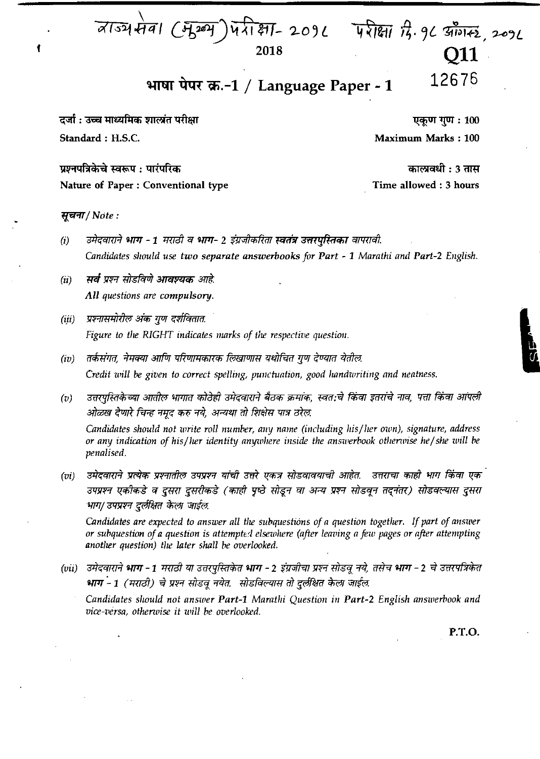वाज्यसेवा (मुख्य)पैरीशा- 2096 परीक्षां दि. 96 ओगस्ट, 2096

## 2018

भाषा पेपर क्र.-1 / Language Paper - 1

दर्जा : उच्च माध्यमिक शालांत परीक्षा Standard: H.S.C.

एकण गुण: 100 **Maximum Marks: 100** 

12676

प्रश्नपत्रिकेचे स्वरूप : पारंपरिक Nature of Paper : Conventional type

कालावधी : 3 तास Time allowed: 3 hours

सूचना / Note:

- उमेदवाराने भाग 1 मराठी व भाग- 2 इंग्रजीकरिता स्वतंत्र उत्तरपस्तिका वापरावी.  $(i)$ Candidates should use two separate answerbooks for Part - 1 Marathi and Part-2 English.
- सर्व प्रश्न सोडविणे आवश्यक आहे.  $(ii)$ All questions are compulsory.
- प्रश्नासमोरील अंक गुण दर्शवितात.  $(iii)$ Figure to the RIGHT indicates marks of the respective question.
- तर्कसंगत. नेमक्या आणि परिणामकारक लिखाणास यथोचित गण देण्यात येतील.  $(iv)$ Credit will be given to correct spelling, punctuation, good lundwriting and neatness.
- उत्तरपुस्तिकेच्या आतील भागात कोठेही उमेदवाराने बैठक क्रमांक, स्वत:चे किंवा इतरांचे नाव, पत्ता किंवा आंपली  $(v)$ ओळख देणारे चिन्ह नमद करु नये. अन्यथा तो शिक्षेस पात्र ठरेल.

Candidates should not write roll number, any name (including his/her own), signature, address or any indication of his/her identity anywhere inside the answerbook otherwise he/she will be penalised.

उमेदवाराने प्रत्येक प्रश्नातील उपप्रश्न यांची उत्तरे एकत्र सोडवावयाची आहेत. उत्तराचा काही भाग किंवा एक  $(vi)$ उपप्रश्न एकीकडे व दुसरा दुसरीकडे (काही पृष्ठे सोडून वा अन्य प्रश्न सोडवून तदनंतर) सोडवल्यास दुसरा भाग/ उपप्रश्न दुर्लक्षित केला जाईल.

Candidates are expected to answer all the subquestions of a question together. If part of answer or subquestion of a question is attempted elsewhere (after leaving a few pages or after attempting another question) the later shall be overlooked.

(vii) उमेदवाराने **भाग - 1** मराठी या उत्तरपुस्तिकेत **भाग - 2** इंग्रजीचा प्रश्न सोडव् नये, तसेच **भाग - 2** चे उत्तरपत्रिकेत भाग - 1 (मराठी) चे प्रश्न सोडवू नयेत. सोडविल्यास तो दुर्लीक्षत केला जाईल

Candidates should not answer Part-1 Marathi Question in Part-2 English answerbook and vice-versa, otherwise it will be overlooked.

P.T.O.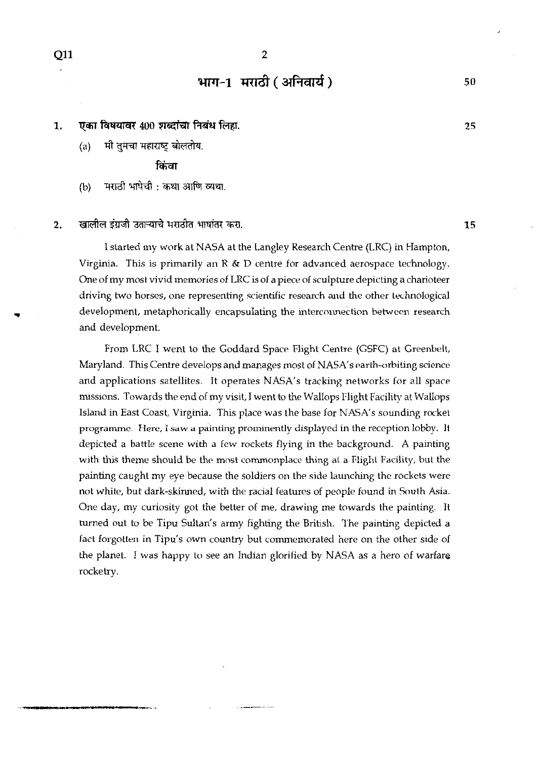$\overline{2}$ 

# भाग-1 मराठी (अनिवार्य)

- 1. **एका विषयावर 400 शब्दांचा निबंध लिहा.** 
	- (a) मी तुमचा महाराष्ट्र बोलतोय.

### किंवा

(b) मराठी भाषेची : कथा आणि व्यथा.

खालील इंग्रजी उताऱ्याचे मराठीत भाषांतर करा.  $2.$ 

> I started my work at NASA at the Langley Research Centre (LRC) in Hampton, Virginia. This is primarily an R & D centre for advanced aerospace technology. One of my most vivid memories of LRC is of apiece of sculpture depicting a charioteer driving two horses, one representine scientific research **and** the other Lechnological development, metaphorically encapsulating the interconnection betwccn research and deveIopment.

> From LRC I went to the Goddard Space Flight Centre (GSFC) at Greenbelt, Maryland. This Centre develops and manages most of NASA's earth-orbiting science and applications satellites. It operates NASA's tracking networks for all space missions. Towards the end of my visit, I went to the Wallops Flight Facility at Wallops Island in East Coast, Virginia. This place was the base for NASA's sounding rocket programme. Here, I **saw** a painting prominently displayed in the reception lobby. It depicted a battle scene with a fcw rockets flying in the background. A painting with this theme should be the most commonplacc thing **ai** a Flight Facility, but the painting caught my eye because the soldiers on the side launching thc rockets were not white, but dark-skinned, with the racial features of people found in South Asia. One day, my curiosity got the better of me, drawing me towards the painting. It turned out to be Tipu Sultan's army fighting the British. The painting depicted a fact forgotten in Tipu's own country but commemorated here on the other side of the planet. I was happy to see an Indian glorified by NASA as a hero of warfare rocketry.

Q11

25

50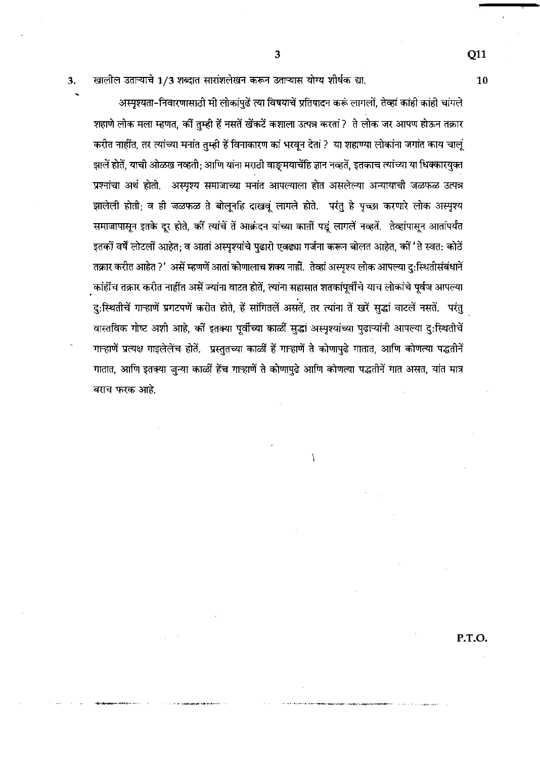खालील उताऱ्याचे 1/3 शब्दात सारांशलेखन करून उताऱ्यास योग्य शीर्षक द्या. 3.

अस्पृश्यता-निवारणासाठी मी लोकांपुढें त्या विषयाचें प्रतिपादन करूं लागलों, तेव्हां कांही कांही चांगले शहाणे लोक मला म्हणत, कीं तुम्ही हें नसतें खेंकटें कशाला उत्पन्न करतां ? ते लोक जर आपण होऊन तक्रार करीत नाहींत, तर त्यांच्या मनांत तुम्ही हें विनाकारण कां भरवून देतां ? या शहाण्या लोकांना जगांत काय चालूं झालें होतें, याची ओळख नव्हती; आणि यांना मराठी वाङ्मयाचेंहि ज्ञान नव्हतें, इतकाच त्यांच्या या धिक्कारयुक्त प्रश्नांचा अर्थ होतो. अस्पृश्य समाजाच्या मनांत आपल्याला होत असलेल्या अन्यायाची जळफळ उत्पन्न झालेली होती; व ही जळफळ ते बोलूनहि दाखवूं लागले होते. परंतु हे पृच्छा करणारे लोक अस्पृश्य समाजापासून इतके दूर होते, कीं त्यांचें तें आक्रंदन यांच्या कार्ती पडूं लागलें नव्हतें. तेव्हांपासून आतांपर्यंत इतकों वर्षें लोटलों आहेत; व आतां अस्पृश्यांचे पुढारी एवढ्या गर्जना करून बोलत आहेत, कों 'ते स्वत: कोठें तक्रार करीत आहेत ?' असें म्हणणें आतां कोणालाच शक्य नाहीं. तेव्हां अस्पृश्य लोक आपल्या दु:स्थितीसंबंधानें कांहींच तक्रार करीत नाहींत असें ज्यांना वाटत होतें, त्यांना सहासात शतकांपूर्वींचे याच लोकांचे पूर्वज आपल्या दुःस्थितीचें गाऱ्हाणें प्रगटपणें करीत होते, हें सांगितलें असतें, तर त्यांना तें खरें सुद्धां वाटलें नसतें. परंतु वास्तविक गोष्ट अशी आहे, को इतक्या पूर्वीच्या काळीं सुद्धां अस्पृश्यांच्या पुढाऱ्यांनी आपल्या दु:स्थितीचें गाऱ्हाणें प्रत्यक्ष गाइलेलेंच होतें. प्रस्तुतच्या काळीं हें गाऱ्हाणें ते कोणापुढे गातात, आणि कोणत्या पद्धतीनें गातात, आणि इतक्या जुन्या काळीं हेंच गाऱ्हाणें ते कोणापुढे आणि कोणत्या पद्धतीनें गात असत, यांत मात्र बराच फरक आहे.

 $\mathcal{L}$ 

P.T.O.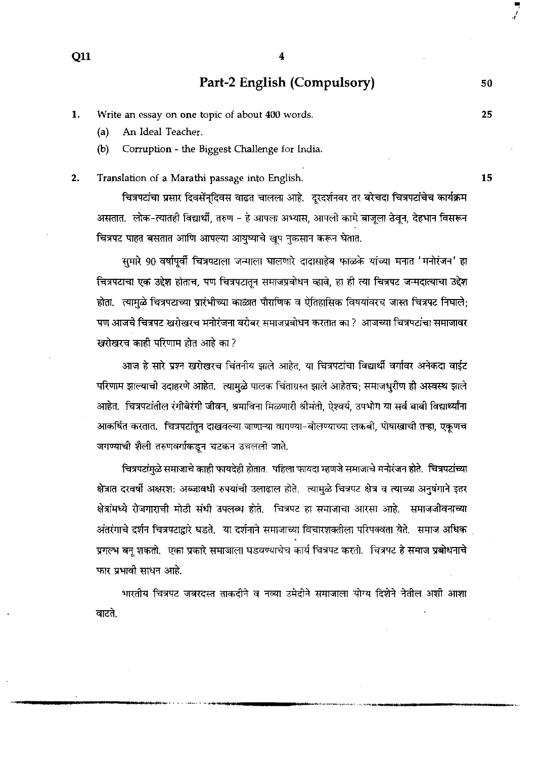**O11** 

# **Part-2 English (Compulsory)**

50

25

15

- **1. Write an essay on one topic of about 400 words.** 
	- **(a) An Ideal Teacher.**
	- **(b) Corruption the Biggest Challenge for India.**

**2. Translation of a Marathi passage into English.** 

चित्रपटांचा प्रसार दिवसेंनुदिवस वाढत चालला आहे. दूरदर्शनवर तर बरेचदा चित्रपटांचेच कार्यक्रम असतात. लोक-त्यातही विद्यार्थी, तरुण - हे आपला अभ्यास, आपली कामे बाजूला ठेवून, देहभान विसरून चित्रपट पाहत बसतात आणि आपल्या आयुष्याचे खूप नुकसान करून घेतात.

समारे 90 वर्षापूर्वी चित्रपटाला जन्माला घालणारे दादासाहेब फाळके यांच्या मनात 'मनोरंजन' हा चित्रपटाचा एक उद्देश होताच, पण चित्रपटातून समाजप्रबोधन व्हावे, हा ही त्या चित्रपट जन्मदात्याचा उद्देश होता. त्यामळे चित्रपटाच्या प्रारंभीच्या काळात पौराणिक व ऐतिहासिक विषयांवरच जास्त चित्रपट निघाले; पण आजचे चित्रपट खरोखरच मनोरंजना बरोबर समाजपूबोधन करतात का ? आजच्या चित्रपटांचा समाजावर खरोखरच काही परिणाम होत आहे का ?

आज हे सारे प्रश्न खरोखरच चिंतनीय झाले आहेत. या चित्रपटांचा विद्यार्थी वर्गावर अनेकदा वाईट परिणाम झाल्याची उदाहरणे आहेत. त्यामुळे पालक चिंताग्रस्त झाले आहेतच; समाजधुरीण ही अस्वस्थ झाले आहेत. चित्रपटांतील रंगीबेरंगी जीवन, श्रमाविना मिळणारी श्रीमंती, ऐश्वर्य, उपभोग या सर्व बाबी विद्यार्थ्यांना आकर्षित करतात. चित्रपटांतून दाखवल्या जाणाऱ्या वागण्या-बोलण्याच्या लकबी, पोषाखाची तऱ्हा, एकृणच जगण्याची शैली तरुणवर्गाकडून चटकन उचलली जाते.

चित्रपटांमुळे समाजाचे काही फायदेही होतात. पहिला फायदा म्हणजे समाजाचे मनोरंजन होते. चित्रपटांच्या क्षेत्रात दरवर्षी अक्षरश: अब्जावधी रुपयांची उलाढाल होते. त्यामुळे चित्रपट क्षेत्र व त्याच्या अनुषंगाने इतर क्षेत्रांमध्ये रोजगाराची मोठी संधी उपलब्ध होते. चित्रपट हा समाजाचा आरसा आहे. समाजजीवनाच्या अंतरंगाचे दर्शन चित्रपटाद्वारे घडते. या दर्शनाने समाजाच्या विचारशक्तीला परिपक्वता येते. समाज अधिक प्रगल्भ बन् शकतो. एका प्रकारे समाजाला घडवण्याचेच कार्य चित्रपट करतो. चित्रपट हे समाज प्रबोधनाचे फार प्रभावी साधन आहे.

भारतीय चित्रपट जबरदस्त ताकदीने व नव्या उमेदीने समाजाला योग्य दिशेने नेतील अशी आशा वाटते.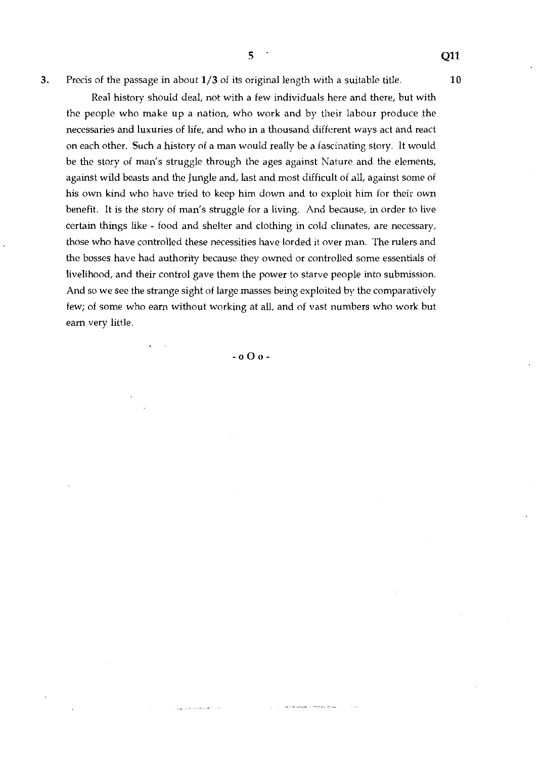**3.** Precis of the passage in about **1/3** of its original length with a suitable title. **10** 

Real history should deal, not with a few individuals here and there, but with the people who make up a nation, who work and by their labour produce the necessaries and luxuries of life, and who in a thousand dilferent ways act and react on each other. Such a history of a man would really be a fascinating story. It would be the story of man's struggle through the ages against Nature and the elements, against wild beasts and the Jungle and, last and most difficult of all, against some of his own kind who have tried to keep him down and to exploit him lor their own benefit. It is the story of man's struggle for a living. And because, in order to live certain things like - food and shelter and clothing in cold climates, are necessary, those who have controlled these necessities have lorded it over man. The rulers and the bosses have had authority because they owned or controlled some essentials of livelihood, and their control gave them the power to starve people into submission. And so we see the strange sight of large masses being exploited by the comparatively few; of some who earn without working at all, and of vast numbers who work but earn very little.

 $-0$  O  $0$  -

the company of the above and the state